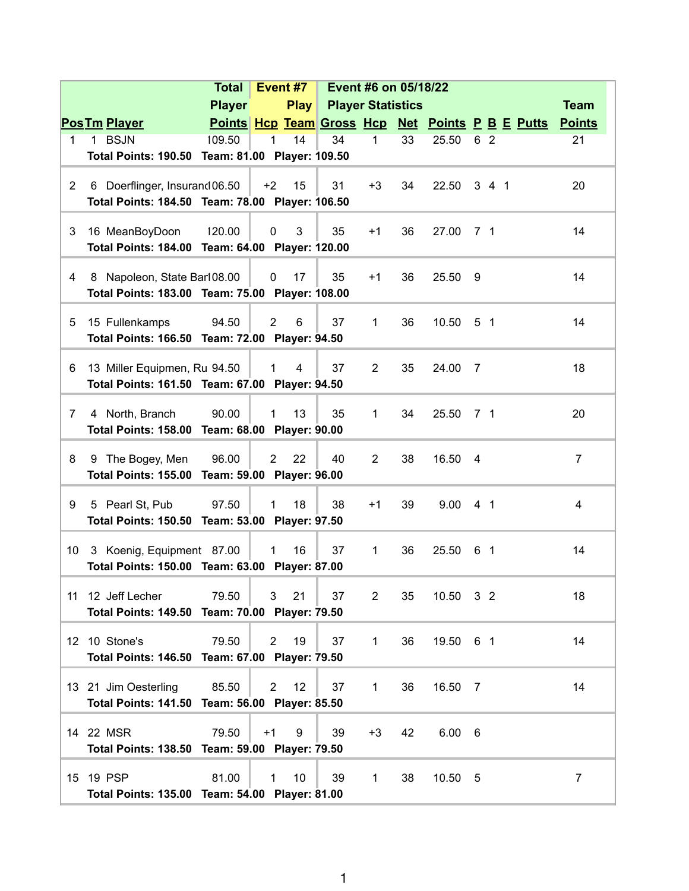|                |                                                                                  | <b>Total</b>  |                | Event #7       | Event #6 on 05/18/22     |                |    |             |                |                                                  |                |
|----------------|----------------------------------------------------------------------------------|---------------|----------------|----------------|--------------------------|----------------|----|-------------|----------------|--------------------------------------------------|----------------|
|                |                                                                                  | <b>Player</b> |                | <b>Play</b>    | <b>Player Statistics</b> |                |    |             |                |                                                  | <b>Team</b>    |
|                | <b>Pos Tm Player</b>                                                             |               |                |                |                          |                |    |             |                | Points Hcp Team Gross Hcp Net Points P B E Putts | <b>Points</b>  |
| $\mathbf 1$    | 1 BSJN                                                                           | 109.50        | 1              | 14             | 34                       | $\mathbf{1}$   | 33 | 25.50       | 6 2            |                                                  | 21             |
|                | Total Points: 190.50 Team: 81.00 Player: 109.50                                  |               |                |                |                          |                |    |             |                |                                                  |                |
|                |                                                                                  |               |                |                | 31                       | $+3$           | 34 | 22.50 3 4 1 |                |                                                  | 20             |
| $\overline{2}$ | 6 Doerflinger, Insurand 06.50<br>Total Points: 184.50 Team: 78.00 Player: 106.50 |               | $+2$           | 15             |                          |                |    |             |                |                                                  |                |
|                |                                                                                  |               |                |                |                          |                |    |             |                |                                                  |                |
| 3              | 16 MeanBoyDoon                                                                   | 120.00        | $\mathbf 0$    | 3              | 35                       | $+1$           | 36 | 27.00       | 7 1            |                                                  | 14             |
|                | Total Points: 184.00 Team: 64.00 Player: 120.00                                  |               |                |                |                          |                |    |             |                |                                                  |                |
|                |                                                                                  |               |                |                |                          |                |    |             |                |                                                  |                |
| 4              | 8 Napoleon, State Bar108.00<br>Total Points: 183.00 Team: 75.00 Player: 108.00   |               | 0              | 17             | 35                       | $+1$           | 36 | 25.50       | 9              |                                                  | 14             |
|                |                                                                                  |               |                |                |                          |                |    |             |                |                                                  |                |
| 5              | 15 Fullenkamps                                                                   | 94.50         | 2              | 6              | 37                       | 1              | 36 | 10.50       | 5 <sub>1</sub> |                                                  | 14             |
|                | Total Points: 166.50 Team: 72.00 Player: 94.50                                   |               |                |                |                          |                |    |             |                |                                                  |                |
|                |                                                                                  |               |                |                |                          |                |    |             |                |                                                  |                |
| 6              | 13 Miller Equipmen, Ru 94.50<br>Total Points: 161.50 Team: 67.00 Player: 94.50   |               | $\mathbf 1$    | $\overline{4}$ | 37                       | $\overline{2}$ | 35 | 24.00       | $\overline{7}$ |                                                  | 18             |
|                |                                                                                  |               |                |                |                          |                |    |             |                |                                                  |                |
| $\overline{7}$ | 4 North, Branch                                                                  | 90.00         | $\mathbf{1}$   | 13             | 35                       | $\mathbf{1}$   | 34 | 25.50       | 71             |                                                  | 20             |
|                | Total Points: 158.00 Team: 68.00 Player: 90.00                                   |               |                |                |                          |                |    |             |                |                                                  |                |
| 8              | The Bogey, Men                                                                   | 96.00         | $\overline{2}$ | 22             | 40                       | $\overline{2}$ | 38 | 16.50       | $\overline{4}$ |                                                  | $\overline{7}$ |
|                | 9<br>Total Points: 155.00 Team: 59.00 Player: 96.00                              |               |                |                |                          |                |    |             |                |                                                  |                |
|                |                                                                                  |               |                |                |                          |                |    |             |                |                                                  |                |
| 9              | 5 Pearl St, Pub                                                                  | 97.50         | $\mathbf{1}$   | 18             | 38                       | $+1$           | 39 | 9.00        | 4 1            |                                                  | $\overline{4}$ |
|                | Total Points: 150.50 Team: 53.00 Player: 97.50                                   |               |                |                |                          |                |    |             |                |                                                  |                |
| 10             | 3 Koenig, Equipment 87.00                                                        |               | 1              | 16             | 37                       | 1              | 36 | 25.50       | 61             |                                                  | 14             |
|                | Total Points: 150.00 Team: 63.00 Player: 87.00                                   |               |                |                |                          |                |    |             |                |                                                  |                |
|                |                                                                                  |               |                |                |                          |                |    |             |                |                                                  |                |
|                | 11 12 Jeff Lecher                                                                | 79.50         | 3 <sup>7</sup> | 21             | 37                       | $\overline{2}$ | 35 | 10.50 3 2   |                |                                                  | 18             |
|                | Total Points: 149.50 Team: 70.00 Player: 79.50                                   |               |                |                |                          |                |    |             |                |                                                  |                |
|                | 12 10 Stone's                                                                    | 79.50         | $\overline{2}$ | 19             | 37                       | $\mathbf{1}$   | 36 | 19.50 6 1   |                |                                                  | 14             |
|                | Total Points: 146.50 Team: 67.00 Player: 79.50                                   |               |                |                |                          |                |    |             |                |                                                  |                |
|                |                                                                                  |               |                |                |                          |                |    |             |                |                                                  |                |
|                | 13 21 Jim Oesterling                                                             | 85.50         | $\overline{2}$ | 12             | 37                       | $\mathbf{1}$   | 36 | 16.50 7     |                |                                                  | 14             |
|                | Total Points: 141.50 Team: 56.00 Player: 85.50                                   |               |                |                |                          |                |    |             |                |                                                  |                |
|                | 14 22 MSR                                                                        | 79.50         | $+1$           | 9              | 39                       | $+3$           | 42 | 6.00 6      |                |                                                  |                |
|                | Total Points: 138.50 Team: 59.00 Player: 79.50                                   |               |                |                |                          |                |    |             |                |                                                  |                |
|                |                                                                                  |               |                |                |                          |                |    |             |                |                                                  |                |
|                | 15 19 PSP                                                                        | 81.00         | $\mathbf{1}$   | 10             | 39                       | $\mathbf 1$    | 38 | 10.50 5     |                |                                                  | 7              |
|                | Total Points: 135.00 Team: 54.00 Player: 81.00                                   |               |                |                |                          |                |    |             |                |                                                  |                |